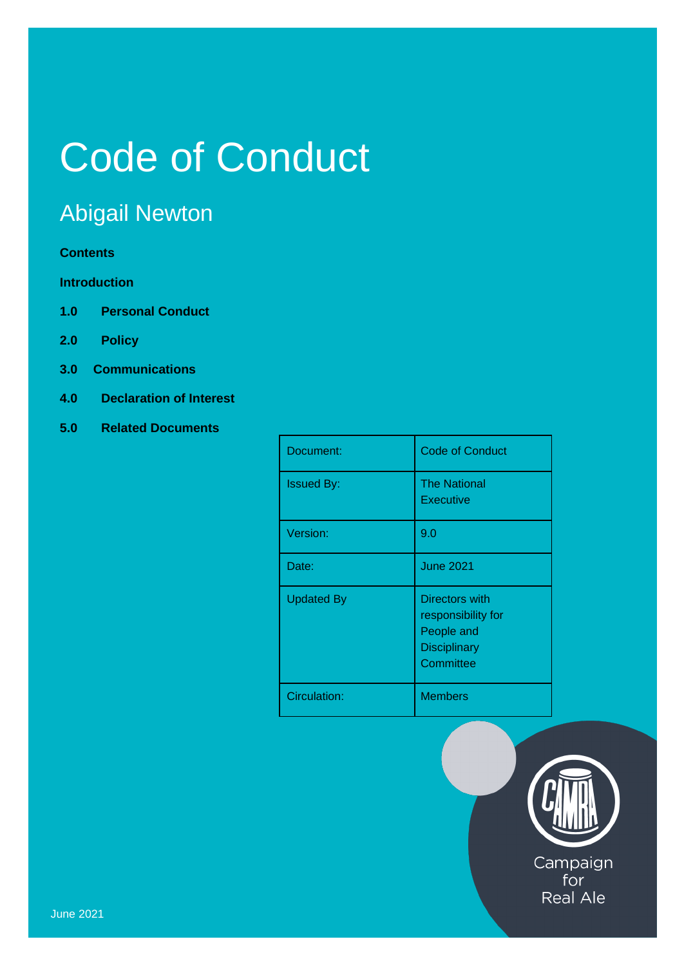# Code of Conduct

# Abigail Newton

## **Contents**

# **Introduction**

- **1.0 Personal Conduct**
- **2.0 Policy**
- **3.0 Communications**
- **4.0 Declaration of Interest**
- **5.0 Related Documents**

| Document:         | <b>Code of Conduct</b>                                                                 |
|-------------------|----------------------------------------------------------------------------------------|
| <b>Issued By:</b> | <b>The National</b><br><b>Executive</b>                                                |
| Version:          | 9.0                                                                                    |
| Date:             | <b>June 2021</b>                                                                       |
| <b>Updated By</b> | Directors with<br>responsibility for<br>People and<br><b>Disciplinary</b><br>Committee |
| Circulation:      | <b>Members</b>                                                                         |



for **Real Ale**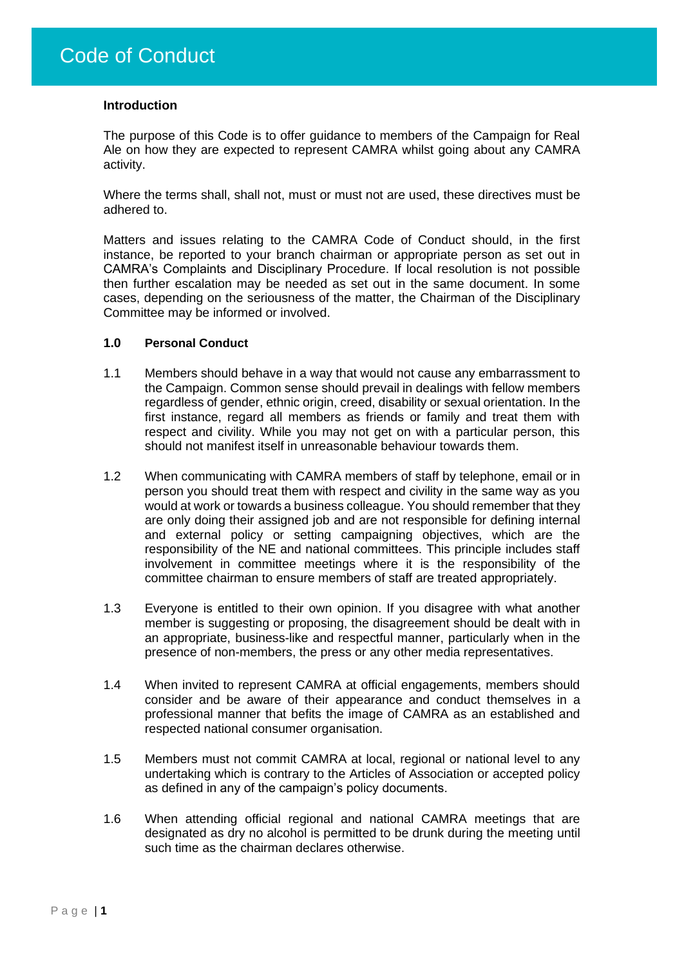#### **Introduction**

The purpose of this Code is to offer guidance to members of the Campaign for Real Ale on how they are expected to represent CAMRA whilst going about any CAMRA activity.

Where the terms shall, shall not, must or must not are used, these directives must be adhered to.

Matters and issues relating to the CAMRA Code of Conduct should, in the first instance, be reported to your branch chairman or appropriate person as set out in CAMRA's Complaints and Disciplinary Procedure. If local resolution is not possible then further escalation may be needed as set out in the same document. In some cases, depending on the seriousness of the matter, the Chairman of the Disciplinary Committee may be informed or involved.

#### **1.0 Personal Conduct**

- 1.1 Members should behave in a way that would not cause any embarrassment to the Campaign. Common sense should prevail in dealings with fellow members regardless of gender, ethnic origin, creed, disability or sexual orientation. In the first instance, regard all members as friends or family and treat them with respect and civility. While you may not get on with a particular person, this should not manifest itself in unreasonable behaviour towards them.
- 1.2 When communicating with CAMRA members of staff by telephone, email or in person you should treat them with respect and civility in the same way as you would at work or towards a business colleague. You should remember that they are only doing their assigned job and are not responsible for defining internal and external policy or setting campaigning objectives, which are the responsibility of the NE and national committees. This principle includes staff involvement in committee meetings where it is the responsibility of the committee chairman to ensure members of staff are treated appropriately.
- 1.3 Everyone is entitled to their own opinion. If you disagree with what another member is suggesting or proposing, the disagreement should be dealt with in an appropriate, business-like and respectful manner, particularly when in the presence of non-members, the press or any other media representatives.
- 1.4 When invited to represent CAMRA at official engagements, members should consider and be aware of their appearance and conduct themselves in a professional manner that befits the image of CAMRA as an established and respected national consumer organisation.
- 1.5 Members must not commit CAMRA at local, regional or national level to any undertaking which is contrary to the Articles of Association or accepted policy as defined in any of the campaign's policy documents.
- 1.6 When attending official regional and national CAMRA meetings that are designated as dry no alcohol is permitted to be drunk during the meeting until such time as the chairman declares otherwise.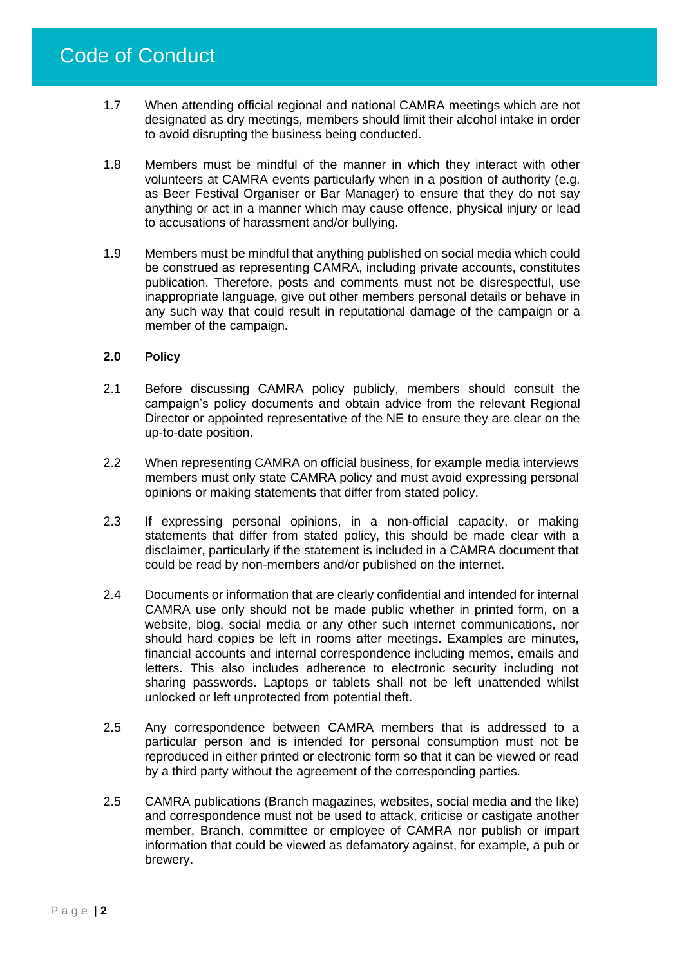- 1.7 When attending official regional and national CAMRA meetings which are not designated as dry meetings, members should limit their alcohol intake in order to avoid disrupting the business being conducted.
- 1.8 Members must be mindful of the manner in which they interact with other volunteers at CAMRA events particularly when in a position of authority (e.g. as Beer Festival Organiser or Bar Manager) to ensure that they do not say anything or act in a manner which may cause offence, physical injury or lead to accusations of harassment and/or bullying.
- 1.9 Members must be mindful that anything published on social media which could be construed as representing CAMRA, including private accounts, constitutes publication. Therefore, posts and comments must not be disrespectful, use inappropriate language, give out other members personal details or behave in any such way that could result in reputational damage of the campaign or a member of the campaign.

#### **2.0 Policy**

- 2.1 Before discussing CAMRA policy publicly, members should consult the campaign's policy documents and obtain advice from the relevant Regional Director or appointed representative of the NE to ensure they are clear on the up-to-date position.
- 2.2 When representing CAMRA on official business, for example media interviews members must only state CAMRA policy and must avoid expressing personal opinions or making statements that differ from stated policy.
- 2.3 If expressing personal opinions, in a non-official capacity, or making statements that differ from stated policy, this should be made clear with a disclaimer, particularly if the statement is included in a CAMRA document that could be read by non-members and/or published on the internet.
- 2.4 Documents or information that are clearly confidential and intended for internal CAMRA use only should not be made public whether in printed form, on a website, blog, social media or any other such internet communications, nor should hard copies be left in rooms after meetings. Examples are minutes, financial accounts and internal correspondence including memos, emails and letters. This also includes adherence to electronic security including not sharing passwords. Laptops or tablets shall not be left unattended whilst unlocked or left unprotected from potential theft.
- 2.5 Any correspondence between CAMRA members that is addressed to a particular person and is intended for personal consumption must not be reproduced in either printed or electronic form so that it can be viewed or read by a third party without the agreement of the corresponding parties.
- 2.5 CAMRA publications (Branch magazines, websites, social media and the like) and correspondence must not be used to attack, criticise or castigate another member, Branch, committee or employee of CAMRA nor publish or impart information that could be viewed as defamatory against, for example, a pub or brewery.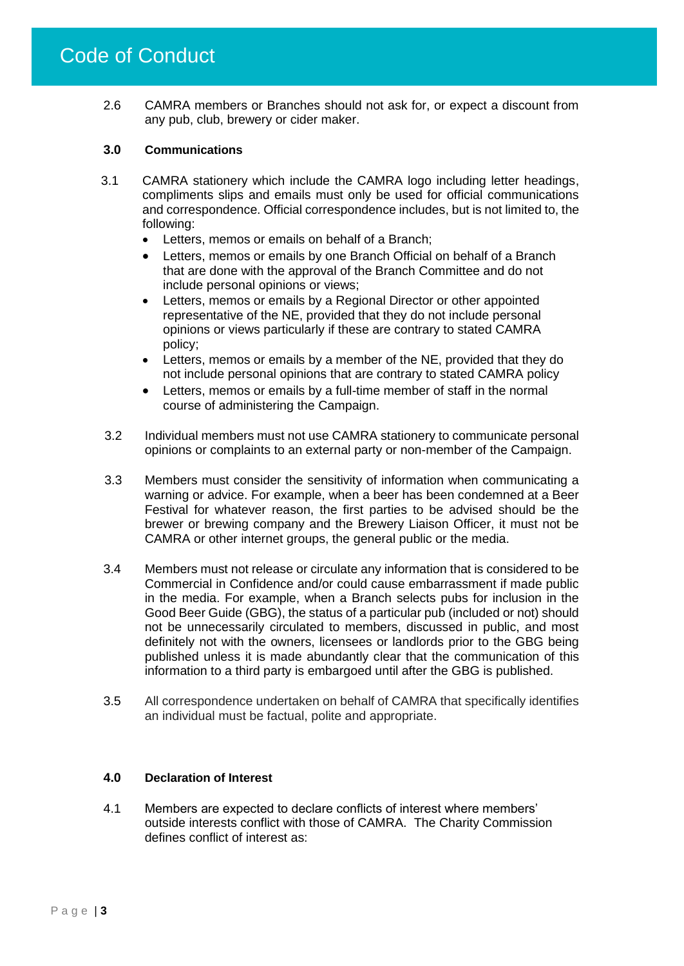2.6 CAMRA members or Branches should not ask for, or expect a discount from any pub, club, brewery or cider maker.

#### **3.0 Communications**

- 3.1 CAMRA stationery which include the CAMRA logo including letter headings, compliments slips and emails must only be used for official communications and correspondence. Official correspondence includes, but is not limited to, the following:
	- Letters, memos or emails on behalf of a Branch;
	- Letters, memos or emails by one Branch Official on behalf of a Branch that are done with the approval of the Branch Committee and do not include personal opinions or views;
	- Letters, memos or emails by a Regional Director or other appointed representative of the NE, provided that they do not include personal opinions or views particularly if these are contrary to stated CAMRA policy;
	- Letters, memos or emails by a member of the NE, provided that they do not include personal opinions that are contrary to stated CAMRA policy
	- Letters, memos or emails by a full-time member of staff in the normal course of administering the Campaign.
- 3.2 Individual members must not use CAMRA stationery to communicate personal opinions or complaints to an external party or non-member of the Campaign.
- 3.3 Members must consider the sensitivity of information when communicating a warning or advice. For example, when a beer has been condemned at a Beer Festival for whatever reason, the first parties to be advised should be the brewer or brewing company and the Brewery Liaison Officer, it must not be CAMRA or other internet groups, the general public or the media.
- 3.4 Members must not release or circulate any information that is considered to be Commercial in Confidence and/or could cause embarrassment if made public in the media. For example, when a Branch selects pubs for inclusion in the Good Beer Guide (GBG), the status of a particular pub (included or not) should not be unnecessarily circulated to members, discussed in public, and most definitely not with the owners, licensees or landlords prior to the GBG being published unless it is made abundantly clear that the communication of this information to a third party is embargoed until after the GBG is published.
- 3.5 All correspondence undertaken on behalf of CAMRA that specifically identifies an individual must be factual, polite and appropriate.

## **4.0 Declaration of Interest**

4.1 Members are expected to declare conflicts of interest where members' outside interests conflict with those of CAMRA. The Charity Commission defines conflict of interest as: